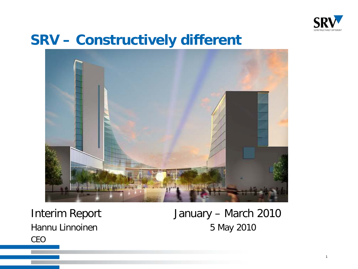

#### **SRV – Constructively different**



CEO

Interim Report January – March 2010 Hannu Linnoinen 5 May 2010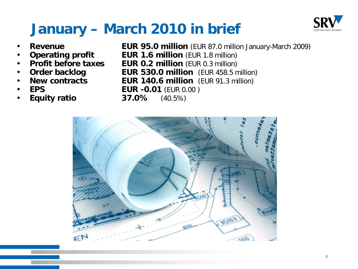

# **January – March 2010 in brief**

- 
- 
- 
- 
- 
- 
- 
- **Revenue EUR 95.0 million** (EUR 87.0 million January-March 2009)
	- **Operating profit EUR 1.6 million** (EUR 1.8 million)
	- **Profit before taxes EUR 0.2 million** (EUR 0.3 million)
	- **Order backlog EUR 530.0 million** (EUR 458.5 million)
	- **New contracts EUR 140.6 million** (EUR 91.3 million)
	- **EPS EUR -0.01** (EUR 0.00 )
	- **Equity ratio 37.0%** (40.5%)

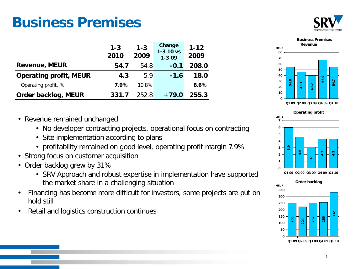#### **Business Premises**



|                               | $1 - 3$<br>2010 | $1 - 3$<br>2009 | Change<br>$1 - 310$ vs<br>$1 - 309$ | $1 - 12$<br>2009 |
|-------------------------------|-----------------|-----------------|-------------------------------------|------------------|
| <b>Revenue, MEUR</b>          | 54.7            | 54.8            | $-0.1$                              | 208.0            |
| <b>Operating profit, MEUR</b> | 4.3             | 5.9             | $-1.6$                              | 18.0             |
| Operating profit, %           | 7.9%            | 10.8%           |                                     | 8.6%             |
| Order backlog, MEUR           | 331.7           | 252.8           | $+79.0$                             | 255.3            |

- Revenue remained unchanged
	- No developer contracting projects, operational focus on contracting
	- Site implementation according to plans
	- profitability remained on good level, operating profit margin 7.9%
- Strong focus on customer acquisition
- Order backlog grew by 31%
	- SRV Approach and robust expertise in implementation have supported the market share in a challenging situation
- Financing has become more difficult for investors, some projects are put on hold still
- Retail and logistics construction continues



**Operating profit**



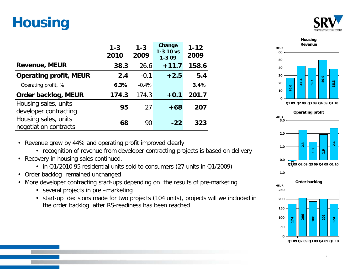### **Housing**



|                                               | $1 - 3$<br>2010 | $1 - 3$<br>2009 | Change<br>$1 - 310$ vs<br>$1 - 309$ | $1 - 12$<br>2009 |
|-----------------------------------------------|-----------------|-----------------|-------------------------------------|------------------|
| <b>Revenue, MEUR</b>                          | 38.3            | 26.6            | $+11.7$                             | 158.6            |
| <b>Operating profit, MEUR</b>                 | 2.4             | $-0.1$          | $+2.5$                              | 5.4              |
| Operating profit, %                           | 6.3%            | $-0.4%$         |                                     | 3.4%             |
| Order backlog, MEUR                           | 174.3           | 174.3           | $+0.1$                              | 201.7            |
| Housing sales, units<br>developer contracting | 95              | 27              | $+68$                               | 207              |
| Housing sales, units<br>negotiation contracts | 68              | 90              | $-22$                               | 323              |

**Housing Revenue MEUR 49.9 38.3 0 10 20 30 40 50 60**

**Q1 09 Q2 09 Q3 09 Q4 09 Q1 10**





- Revenue grew by 44% and operating profit improved clearly
	- recognition of revenue from developer contracting projects is based on delivery
- Recovery in housing sales continued,
	- in Q1/2010 95 residential units sold to consumers (27 units in Q1/2009)
- Order backlog remained unchanged
- More developer contracting start-ups depending on the results of pre-marketing
	- several projects in pre –marketing
	- start-up decisions made for two projects (104 units), projects will we included in the order backlog after RS-readiness has been reached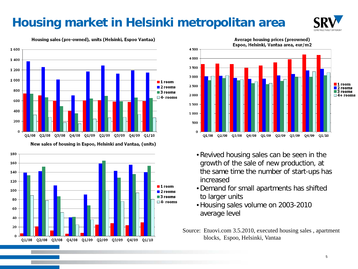#### **Housing market in Helsinki metropolitan area**



Housing sales (pre-owned), units (Helsinki, Espoo Vantaa)







- •Revived housing sales can be seen in the growth of the sale of new production, at the same time the number of start-ups has increased
- •Demand for small apartments has shifted to larger units
- •Housing sales volume on 2003-2010 average level
- Source: Etuovi.com 3.5.2010, executed housing sales , apartment blocks, Espoo, Helsinki, Vantaa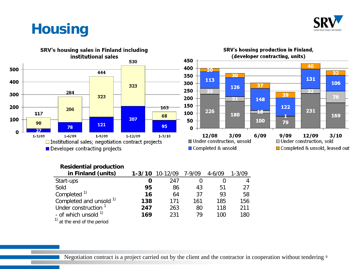

#### **Housing**



#### **Residential production**

| in Finland (units)                     | $1 - 3/10$ | 10-12/09 | 7-9/09 | $4 - 6/09$ | $1 - 3/09$ |
|----------------------------------------|------------|----------|--------|------------|------------|
| Start-ups                              | O          | 247      |        |            |            |
| Sold                                   | 95         | 86       | 43     | 51         | 27         |
| Completed <sup>1)</sup>                | 16         | 64       | 37     | 93         | 58         |
| Completed and unsold 1)                | 138        | 171      | 161    | 185        | 156        |
| Under construction <sup>1</sup>        | 247        | 263      | 80     | 118        | 211        |
| - of which unsold $1$                  | 169        | 231      | 79     | 100        | 180        |
| $\frac{1}{1}$ at the end of the period |            |          |        |            |            |

Negotiation contract is a project carried out by the client and the contractor in cooperation without tendering 6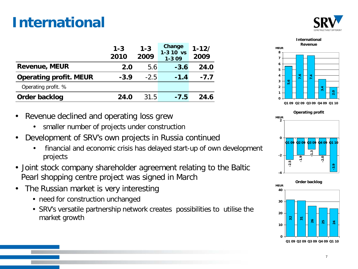#### **International**



|                               | $1 - 3$<br>2010 | $1 - 3$<br>2009 | Change<br>$1 - 310$ vs<br>$1 - 309$ | $1 - 12/$<br>2009 |
|-------------------------------|-----------------|-----------------|-------------------------------------|-------------------|
| <b>Revenue, MEUR</b>          | 2.0             | 5.6             | $-3.6$                              | 24.0              |
| <b>Operating profit. MEUR</b> | $-3.9$          | $-2.5$          | $-1.4$                              | $-7.7$            |
| Operating profit. %           |                 |                 |                                     |                   |
| Order backlog                 | 24.0            | 31.5            | $-7.5$                              | 24 G              |

**2.0 0 1 2 3 4 5 6 7 8 Q1 09 Q2 09 Q3 09 Q4 09 Q1 10**

**MEUR**

**International Revenue**

- Revenue declined and operating loss grew
	- smaller number of projects under construction
- Development of SRV's own projects in Russia continued
	- financial and economic crisis has delayed start-up of own development projects
- Joint stock company shareholder agreement relating to the Baltic Pearl shopping centre project was signed in March
- The Russian market is very interesting
	- need for construction unchanged
	- SRV's versatile partnership network creates possibilities to utilise the market growth



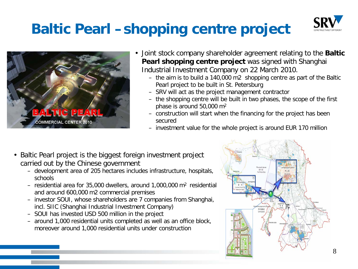#### **Baltic Pearl –shopping centre project**





- Joint stock company shareholder agreement relating to the **Baltic Pearl shopping centre project** was signed with Shanghai Industrial Investment Company on 22 March 2010.
	- the aim is to build a 140,000 m2 shopping centre as part of the Baltic Pearl project to be built in St. Petersburg
	- SRV will act as the project management contractor
	- the shopping centre will be built in two phases, the scope of the first phase is around 50,000 m2
	- construction will start when the financing for the project has been secured
	- investment value for the whole project is around EUR 170 million
- Baltic Pearl project is the biggest foreign investment project carried out by the Chinese government
	- development area of 205 hectares includes infrastructure, hospitals, schools
	- residential area for 35,000 dwellers, around 1,000,000  $m^2$  residential and around 600,000 m2 commercial premises
	- investor SOUI, whose shareholders are 7 companies from Shanghai, incl. SIIC (Shanghai Industrial Investment Company)
	- SOUI has invested USD 500 million in the project
	- around 1,000 residential units completed as well as an office block, moreover around 1,000 residential units under construction

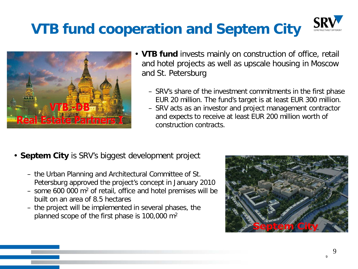# **VTB fund cooperation and Septem City**





- **VTB fund** invests mainly on construction of office, retail and hotel projects as well as upscale housing in Moscow and St. Petersburg
	- SRV's share of the investment commitments in the first phase EUR 20 million. The fund's target is at least EUR 300 million.
	- SRV acts as an investor and project management contractor and expects to receive at least EUR 200 million worth of construction contracts.
- **Septem City** is SRV's biggest development project
	- the Urban Planning and Architectural Committee of St. Petersburg approved the project's concept in January 2010
	- some 600 000  $m<sup>2</sup>$  of retail, office and hotel premises will be built on an area of 8.5 hectares
	- the project will be implemented in several phases, the planned scope of the first phase is 100,000 m2



9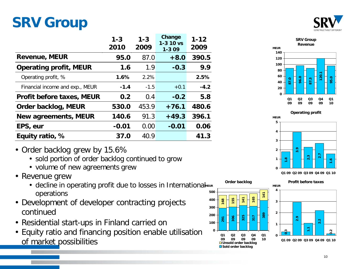#### **SRV Group**



|                                  | $1 - 3$<br>2010 | $1 - 3$<br>2009 | Change<br>$1 - 310$ vs<br>$1 - 309$ | $1 - 12$<br>2009 |
|----------------------------------|-----------------|-----------------|-------------------------------------|------------------|
| <b>Revenue, MEUR</b>             | 95.0            | 87.0            | $+8.0$                              | 390.5            |
| <b>Operating profit, MEUR</b>    | 1.6             | 1.9             | $-0.3$                              | 9.9              |
| Operating profit, %              | 1.6%            | 2.2%            |                                     | 2.5%             |
| Financial income and exp., MEUR  | $-1.4$          | $-1.5$          | $+0.1$                              | $-4.2$           |
| <b>Profit before taxes, MEUR</b> | 0.2             | 0.4             | $-0.2$                              | 5.8              |
| Order backlog, MEUR              | 530.0           | 453.9           | $+76.1$                             | 480.6            |
| <b>New agreements, MEUR</b>      | 140.6           | 91.3            | $+49.3$                             | 396.1            |
| EPS, eur                         | $-0.01$         | 0.00            | $-0.01$                             | 0.06             |
| Equity ratio, %                  | 37.0            | 40.9            |                                     | 41.3             |

- Order backlog grew by 15.6%
	- sold portion of order backlog continued to grow
	- volume of new agreements grew
- Revenue grew
	- decline in operating profit due to losses in InternationalMEUR operations **500**
- Development of developer contracting projects continued
- Residential start-ups in Finland carried on
- Equity ratio and financing position enable utilisation of market possibilities







**Q1 09 Q2 09 Q3 09 Q4 09 Q1 10**

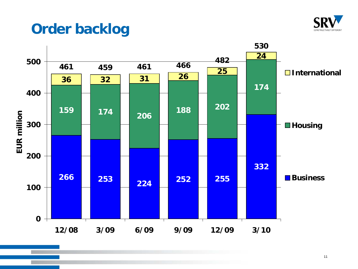

#### **Order backlog**

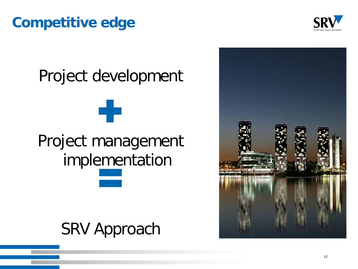#### **Competitive edge**



# Project development 43 Project management implementation

# SRV Approach

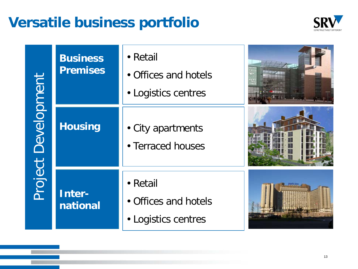#### **Versatile business portfolio**



Project Development Project Development

| <b>Business</b><br><b>Premises</b> | • Retail<br>• Offices and hotels<br>• Logistics centres |  |
|------------------------------------|---------------------------------------------------------|--|
| <b>Housing</b>                     | • City apartments<br>• Terraced houses                  |  |
| Inter-<br>national                 | • Retail<br>• Offices and hotels<br>• Logistics centres |  |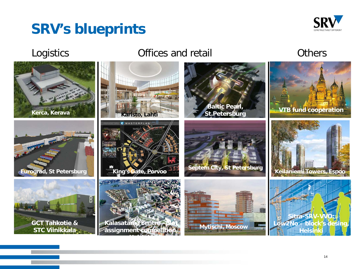#### **SRV's blueprints**



#### Logistics **Contract Contract Contract Contract Contract Contract Contract Contract Contract Contract Contract Contract Contract Contract Contract Contract Contract Contract Contract Contract Contract Contract Contract Cont**

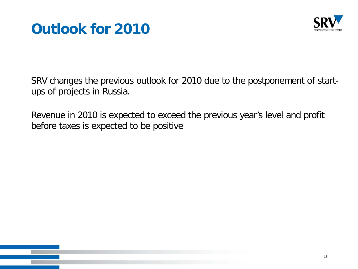



SRV changes the previous outlook for 2010 due to the postponement of startups of projects in Russia.

Revenue in 2010 is expected to exceed the previous year's level and profit before taxes is expected to be positive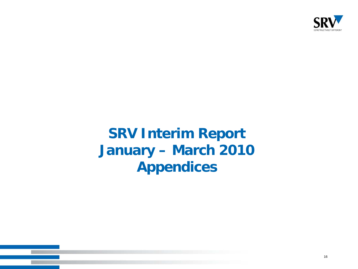

#### **SRV Interim Report January – March 2010 Appendices**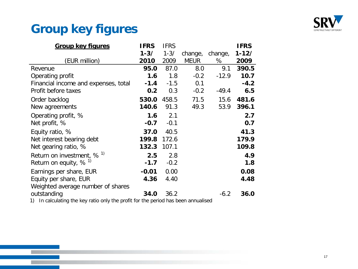

#### **Group key figures**

| <b>Group key figures</b>             | <b>IFRS</b> | <b>IFRS</b> |             |         | <b>IFRS</b> |
|--------------------------------------|-------------|-------------|-------------|---------|-------------|
|                                      | $1 - 3/$    | $1 - 3/$    | change,     | change, | $1 - 12/$   |
| (EUR million)                        | 2010        | 2009        | <b>MEUR</b> | %       | 2009        |
| Revenue                              | 95.0        | 87.0        | 8.0         | 9.1     | 390.5       |
| Operating profit                     | 1.6         | 1.8         | $-0.2$      | $-12.9$ | 10.7        |
| Financial income and expenses, total | $-1.4$      | $-1.5$      | 0.1         |         | $-4.2$      |
| Profit before taxes                  | 0.2         | 0.3         | $-0.2$      | $-49.4$ | 6.5         |
| Order backlog                        | 530.0       | 458.5       | 71.5        | 15.6    | 481.6       |
| New agreements                       | 140.6       | 91.3        | 49.3        | 53.9    | 396.1       |
| Operating profit, %                  | 1.6         | 2.1         |             |         | 2.7         |
| Net profit, %                        | $-0.7$      | $-0.1$      |             |         | 0.7         |
| Equity ratio, %                      | 37.0        | 40.5        |             |         | 41.3        |
| Net interest bearing debt            | 199.8       | 172.6       |             |         | 179.9       |
| Net gearing ratio, %                 | 132.3       | 107.1       |             |         | 109.8       |
| Return on investment, $% ^{1}$       | 2.5         | 2.8         |             |         | 4.9         |
| Return on equity, $% ^{1}$           | $-1.7$      | $-0.2$      |             |         | 1.8         |
| Earnings per share, EUR              | $-0.01$     | 0.00        |             |         | 0.08        |
| Equity per share, EUR                | 4.36        | 4.40        |             |         | 4.48        |
| Weighted average number of shares    |             |             |             |         |             |
| outstanding                          | 34.0        | 36.2        |             | $-6.2$  | 36.0        |

1) In calculating the key ratio only the profit for the period has been annualised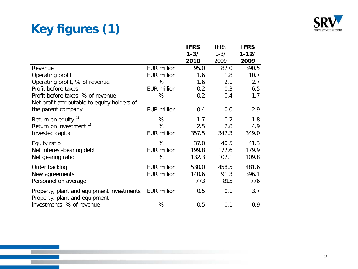#### **Key figures (1)**



|                                                                            |                    | <b>IFRS</b> | <b>IFRS</b> | <b>IFRS</b> |
|----------------------------------------------------------------------------|--------------------|-------------|-------------|-------------|
|                                                                            |                    | $1 - 3/$    | $1 - 3/$    | $1 - 12/$   |
|                                                                            |                    | 2010        | 2009        | 2009        |
| Revenue                                                                    | <b>EUR million</b> | 95.0        | 87.0        | 390.5       |
| Operating profit                                                           | <b>EUR million</b> | 1.6         | 1.8         | 10.7        |
| Operating profit, % of revenue                                             | %                  | 1.6         | 2.1         | 2.7         |
| Profit before taxes                                                        | <b>EUR million</b> | 0.2         | 0.3         | 6.5         |
| Profit before taxes, % of revenue                                          | %                  | 0.2         | 0.4         | 1.7         |
| Net profit attributable to equity holders of                               |                    |             |             |             |
| the parent company                                                         | <b>EUR million</b> | $-0.4$      | 0.0         | 2.9         |
| Return on equity $1$                                                       | %                  | $-1.7$      | $-0.2$      | 1.8         |
| Return on investment <sup>1)</sup>                                         | %                  | 2.5         | 2.8         | 4.9         |
| Invested capital                                                           | <b>EUR million</b> | 357.5       | 342.3       | 349.0       |
| Equity ratio                                                               | %                  | 37.0        | 40.5        | 41.3        |
| Net interest-bearing debt                                                  | <b>EUR million</b> | 199.8       | 172.6       | 179.9       |
| Net gearing ratio                                                          | %                  | 132.3       | 107.1       | 109.8       |
| Order backlog                                                              | <b>EUR million</b> | 530.0       | 458.5       | 481.6       |
| New agreements                                                             | <b>EUR million</b> | 140.6       | 91.3        | 396.1       |
| Personnel on average                                                       |                    | 773         | 815         | 776         |
| Property, plant and equipment investments<br>Property, plant and equipment | <b>EUR million</b> | 0.5         | 0.1         | 3.7         |
| investments, % of revenue                                                  | %                  | 0.5         | 0.1         | 0.9         |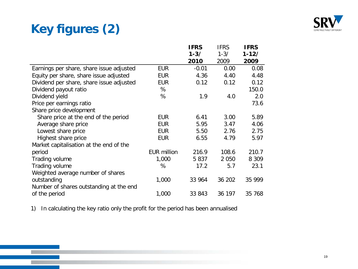#### **Key figures (2)**



|                                          |                    | <b>IFRS</b> | <b>IFRS</b> | <b>IFRS</b> |
|------------------------------------------|--------------------|-------------|-------------|-------------|
|                                          |                    | $1 - 3/$    | $1 - 3/$    | $1 - 12/$   |
|                                          |                    | 2010        | 2009        | 2009        |
| Earnings per share, share issue adjusted | <b>EUR</b>         | $-0.01$     | 0.00        | 0.08        |
| Equity per share, share issue adjusted   | <b>EUR</b>         | 4.36        | 4.40        | 4.48        |
| Dividend per share, share issue adjusted | <b>EUR</b>         | 0.12        | 0.12        | 0.12        |
| Dividend payout ratio                    | %                  |             |             | 150.0       |
| Dividend yield                           | %                  | 1.9         | 4.0         | 2.0         |
| Price per earnings ratio                 |                    |             |             | 73.6        |
| Share price development                  |                    |             |             |             |
| Share price at the end of the period     | <b>EUR</b>         | 6.41        | 3.00        | 5.89        |
| Average share price                      | <b>EUR</b>         | 5.95        | 3.47        | 4.06        |
| Lowest share price                       | <b>EUR</b>         | 5.50        | 2.76        | 2.75        |
| Highest share price                      | <b>EUR</b>         | 6.55        | 4.79        | 5.97        |
| Market capitalisation at the end of the  |                    |             |             |             |
| period                                   | <b>EUR million</b> | 216.9       | 108.6       | 210.7       |
| Trading volume                           | 1,000              | 5837        | 2 0 5 0     | 8 3 0 9     |
| Trading volume                           | %                  | 17.2        | 5.7         | 23.1        |
| Weighted average number of shares        |                    |             |             |             |
| outstanding                              | 1,000              | 33 964      | 36 202      | 35 999      |
| Number of shares outstanding at the end  |                    |             |             |             |
| of the period                            | 1,000              | 33 843      | 36 197      | 35 768      |

1) In calculating the key ratio only the profit for the period has been annualised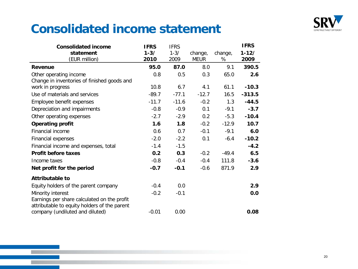

#### **Consolidated income statement**

| <b>Consolidated income</b>                   | <b>IFRS</b> | <b>IFRS</b> |             |         | <b>IFRS</b> |
|----------------------------------------------|-------------|-------------|-------------|---------|-------------|
| statement                                    | $1 - 3/$    | $1 - 3/$    | change,     | change, | $1 - 12/$   |
| (EUR million)                                | 2010        | 2009        | <b>MEUR</b> | %       | 2009        |
| Revenue                                      | 95.0        | 87.0        | 8.0         | 9.1     | 390.5       |
| Other operating income                       | 0.8         | 0.5         | 0.3         | 65.0    | 2.6         |
| Change in inventories of finished goods and  |             |             |             |         |             |
| work in progress                             | 10.8        | 6.7         | 4.1         | 61.1    | $-10.3$     |
| Use of materials and services                | $-89.7$     | $-77.1$     | $-12.7$     | 16.5    | $-313.5$    |
| Employee benefit expenses                    | $-11.7$     | $-11.6$     | $-0.2$      | 1.3     | $-44.5$     |
| Depreciation and impairments                 | $-0.8$      | $-0.9$      | 0.1         | $-9.1$  | $-3.7$      |
| Other operating expenses                     | $-2.7$      | $-2.9$      | 0.2         | $-5.3$  | $-10.4$     |
| <b>Operating profit</b>                      | 1.6         | 1.8         | $-0.2$      | $-12.9$ | 10.7        |
| Financial income                             | 0.6         | 0.7         | $-0.1$      | $-9.1$  | 6.0         |
| <b>Financial expenses</b>                    | $-2.0$      | $-2.2$      | 0.1         | -6.4    | $-10.2$     |
| Financial income and expenses, total         | $-1.4$      | $-1.5$      |             |         | $-4.2$      |
| <b>Profit before taxes</b>                   | 0.2         | 0.3         | $-0.2$      | $-49.4$ | 6.5         |
| Income taxes                                 | $-0.8$      | $-0.4$      | $-0.4$      | 111.8   | $-3.6$      |
| Net profit for the period                    | $-0.7$      | $-0.1$      | $-0.6$      | 871.9   | 2.9         |
| <b>Attributable to</b>                       |             |             |             |         |             |
| Equity holders of the parent company         | $-0.4$      | 0.0         |             |         | 2.9         |
| Minority interest                            | $-0.2$      | $-0.1$      |             |         | 0.0         |
| Earnings per share calculated on the profit  |             |             |             |         |             |
| attributable to equity holders of the parent |             |             |             |         |             |
| company (undiluted and diluted)              | $-0.01$     | 0.00        |             |         | 0.08        |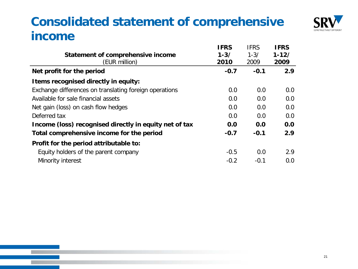#### **Consolidated statement of comprehensive income**



|                                                        | <b>IFRS</b> | <b>IFRS</b> | <b>IFRS</b> |
|--------------------------------------------------------|-------------|-------------|-------------|
| Statement of comprehensive income                      | $1 - 3/$    | $1 - 3/$    | $1 - 12/$   |
| (EUR million)                                          | 2010        | 2009        | 2009        |
| Net profit for the period                              | $-0.7$      | $-0.1$      | 2.9         |
| I tems recognised directly in equity:                  |             |             |             |
| Exchange differences on translating foreign operations | 0.0         | 0.0         | 0.0         |
| Available for sale financial assets                    | 0.0         | 0.0         | 0.0         |
| Net gain (loss) on cash flow hedges                    | 0.0         | 0.0         | 0.0         |
| Deferred tax                                           | 0.0         | 0.0         | 0.0         |
| Income (loss) recognised directly in equity net of tax | 0.0         | 0.0         | 0.0         |
| Total comprehensive income for the period              | $-0.7$      | $-0.1$      | 2.9         |
| Profit for the period attributable to:                 |             |             |             |
| Equity holders of the parent company                   | $-0.5$      | 0.0         | 2.9         |
| Minority interest                                      | $-0.2$      | $-0.1$      | 0.0         |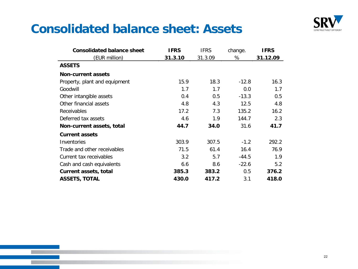

#### **Consolidated balance sheet: Assets**

| <b>Consolidated balance sheet</b> | <b>IFRS</b> | <b>IFRS</b> | change. | <b>IFRS</b> |
|-----------------------------------|-------------|-------------|---------|-------------|
| (EUR million)                     | 31.3.10     | 31.3.09     | %       | 31.12.09    |
| <b>ASSETS</b>                     |             |             |         |             |
| <b>Non-current assets</b>         |             |             |         |             |
| Property, plant and equipment     | 15.9        | 18.3        | $-12.8$ | 16.3        |
| Goodwill                          | 1.7         | 1.7         | 0.0     | 1.7         |
| Other intangible assets           | 0.4         | 0.5         | $-13.3$ | 0.5         |
| Other financial assets            | 4.8         | 4.3         | 12.5    | 4.8         |
| <b>Receivables</b>                | 17.2        | 7.3         | 135.2   | 16.2        |
| Deferred tax assets               | 4.6         | 1.9         | 144.7   | 2.3         |
| Non-current assets, total         | 44.7        | 34.0        | 31.6    | 41.7        |
| <b>Current assets</b>             |             |             |         |             |
| Inventories                       | 303.9       | 307.5       | $-1.2$  | 292.2       |
| Trade and other receivables       | 71.5        | 61.4        | 16.4    | 76.9        |
| Current tax receivables           | 3.2         | 5.7         | $-44.5$ | 1.9         |
| Cash and cash equivalents         | 6.6         | 8.6         | $-22.6$ | 5.2         |
| Current assets, total             | 385.3       | 383.2       | 0.5     | 376.2       |
| <b>ASSETS, TOTAL</b>              | 430.0       | 417.2       | 3.1     | 418.0       |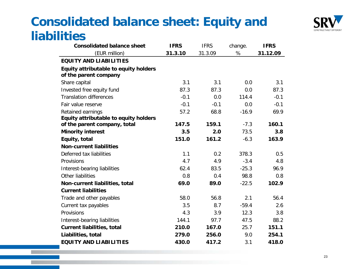#### **Consolidated balance sheet: Equity and liabilities**



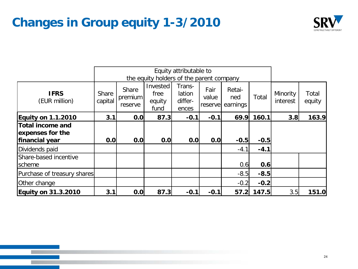#### **Changes in Group equity 1-3/2010**



|                                                               |                  |                             |                                          | Equity attributable to               |                          |                           |        |                      |                 |
|---------------------------------------------------------------|------------------|-----------------------------|------------------------------------------|--------------------------------------|--------------------------|---------------------------|--------|----------------------|-----------------|
|                                                               |                  |                             | the equity holders of the parent company |                                      |                          |                           |        |                      |                 |
| <b>IFRS</b><br>(EUR million)                                  | Share<br>capital | Share<br>premium<br>reserve | Invested<br>free<br>equity<br>fund       | Trans-<br>lation<br>differ-<br>ences | Fair<br>value<br>reserve | Retai-<br>ned<br>earnings | Total  | Minority<br>interest | Total<br>equity |
| <b>Equity on 1.1.2010</b>                                     | 3.1              | 0.0                         | 87.3                                     | $-0.1$                               | $-0.1$                   | 69.9                      | 160.1  | 3.8                  | 163.9           |
| <b>Total income and</b><br>expenses for the<br>financial year | 0.0              | 0.0                         | 0.0                                      | 0.0                                  | 0.0                      | $-0.5$                    | $-0.5$ |                      |                 |
| Dividends paid                                                |                  |                             |                                          |                                      |                          | $-4.1$                    | $-4.1$ |                      |                 |
| Share-based incentive<br>scheme                               |                  |                             |                                          |                                      |                          | 0.6                       | 0.6    |                      |                 |
| Purchase of treasury shares                                   |                  |                             |                                          |                                      |                          | $-8.5$                    | $-8.5$ |                      |                 |
| Other change                                                  |                  |                             |                                          |                                      |                          | $-0.2$                    | $-0.2$ |                      |                 |
| <b>Equity on 31.3.2010</b>                                    | 3.1              | 0.0                         | 87.3                                     | $-0.1$                               | $-0.1$                   | 57.2                      | 147.5  | 3.5                  | 151.0           |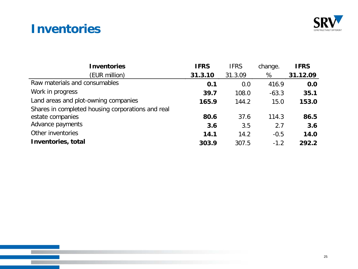#### **Inventories**

п



| <b>Inventories</b>                                | <b>IFRS</b> | <b>IFRS</b> | change. | <b>IFRS</b> |
|---------------------------------------------------|-------------|-------------|---------|-------------|
| (EUR million)                                     | 31.3.10     | 31.3.09     | %       | 31.12.09    |
| Raw materials and consumables                     | 0.1         | 0.0         | 416.9   | 0.0         |
| Work in progress                                  | 39.7        | 108.0       | $-63.3$ | 35.1        |
| Land areas and plot-owning companies              | 165.9       | 144.2       | 15.0    | 153.0       |
| Shares in completed housing corporations and real |             |             |         |             |
| estate companies                                  | 80.6        | 37.6        | 114.3   | 86.5        |
| Advance payments                                  | 3.6         | 3.5         | 2.7     | 3.6         |
| Other inventories                                 | 14.1        | 14.2        | $-0.5$  | 14.0        |
| Inventories, total                                | 303.9       | 307.5       | $-1.2$  | 292.2       |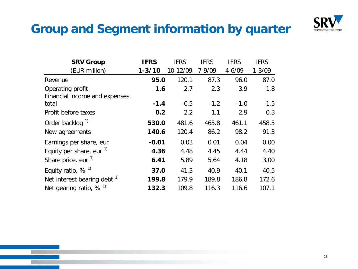

#### **Group and Segment information by quarter**

| <b>SRV Group</b>                                   | <b>IFRS</b> | <b>IFRS</b> | <b>IFRS</b> | <b>IFRS</b> | <b>IFRS</b> |
|----------------------------------------------------|-------------|-------------|-------------|-------------|-------------|
| (EUR million)                                      | $1 - 3/10$  | 10-12/09    | $7 - 9/09$  | $4 - 6/09$  | $1 - 3/09$  |
| Revenue                                            | 95.0        | 120.1       | 87.3        | 96.0        | 87.0        |
| Operating profit<br>Financial income and expenses. | 1.6         | 2.7         | 2.3         | 3.9         | 1.8         |
| total                                              | $-1.4$      | $-0.5$      | $-1.2$      | $-1.0$      | $-1.5$      |
| Profit before taxes                                | 0.2         | 2.2         | 1.1         | 2.9         | 0.3         |
| Order backlog <sup>1)</sup>                        | 530.0       | 481.6       | 465.8       | 461.1       | 458.5       |
| New agreements                                     | 140.6       | 120.4       | 86.2        | 98.2        | 91.3        |
| Earnings per share, eur                            | $-0.01$     | 0.03        | 0.01        | 0.04        | 0.00        |
| Equity per share, eur $1$                          | 4.36        | 4.48        | 4.45        | 4.44        | 4.40        |
| Share price, eur <sup>1)</sup>                     | 6.41        | 5.89        | 5.64        | 4.18        | 3.00        |
| Equity ratio, $%$ <sup>1)</sup>                    | 37.0        | 41.3        | 40.9        | 40.1        | 40.5        |
| Net interest bearing debt <sup>1)</sup>            | 199.8       | 179.9       | 189.8       | 186.8       | 172.6       |
| Net gearing ratio, $%$ <sup>1)</sup>               | 132.3       | 109.8       | 116.3       | 116.6       | 107.1       |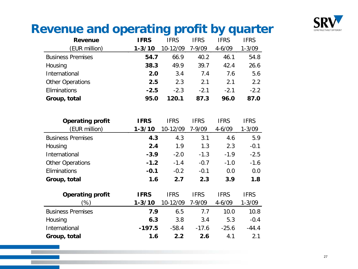

#### **Revenue and operating profit by quarter**

| <b>Revenue</b>           | <b>IFRS</b> | <b>IFRS</b> | <b>IFRS</b> | <b>IFRS</b> | <b>IFRS</b> |
|--------------------------|-------------|-------------|-------------|-------------|-------------|
| (EUR million)            | $1 - 3/10$  | 10-12/09    | $7 - 9/09$  | $4 - 6/09$  | $1 - 3/09$  |
| <b>Business Premises</b> | 54.7        | 66.9        | 40.2        | 46.1        | 54.8        |
| Housing                  | 38.3        | 49.9        | 39.7        | 42.4        | 26.6        |
| International            | 2.0         | 3.4         | 7.4         | 7.6         | 5.6         |
| <b>Other Operations</b>  | 2.5         | 2.3         | 2.1         | 2.1         | 2.2         |
| Eliminations             | $-2.5$      | $-2.3$      | $-2.1$      | $-2.1$      | $-2.2$      |
| Group, total             | 95.0        | 120.1       | 87.3        | 96.0        | 87.0        |

| <b>Operating profit</b>  | <b>IFRS</b> | <b>IFRS</b> | <b>IFRS</b> | <b>IFRS</b> | <b>IFRS</b> |
|--------------------------|-------------|-------------|-------------|-------------|-------------|
| (EUR million)            | $1 - 3/10$  | 10-12/09    | $7 - 9/09$  | $4 - 6/09$  | $1 - 3/09$  |
| <b>Business Premises</b> | 4.3         | 4.3         | 3.1         | 4.6         | 5.9         |
| Housing                  | 2.4         | 1.9         | 1.3         | 2.3         | $-0.1$      |
| International            | $-3.9$      | $-2.0$      | $-1.3$      | $-1.9$      | $-2.5$      |
| <b>Other Operations</b>  | $-1.2$      | $-1.4$      | $-0.7$      | $-1.0$      | $-1.6$      |
| Eliminations             | $-0.1$      | $-0.2$      | $-0.1$      | 0.0         | 0.0         |
| Group, total             | 1.6         | 2.7         | 2.3         | 3.9         | 1.8         |
| <b>Operating profit</b>  | <b>IFRS</b> | <b>IFRS</b> | <b>IFRS</b> | <b>IFRS</b> | <b>IFRS</b> |
| (%)                      | $1 - 3/10$  | 10-12/09    | $7 - 9/09$  | $4 - 6/09$  | $1 - 3/09$  |
| <b>Business Premises</b> | 7.9         | 6.5         | 7.7         | 10.0        | 10.8        |
| Housing                  | 6.3         | 3.8         | 3.4         | 5.3         | $-0.4$      |
| International            | $-197.5$    | $-58.4$     | $-17.6$     | $-25.6$     | $-44.4$     |
| Group, total             | 1.6         | 2.2         | 2.6         | 4.1         | 2.1         |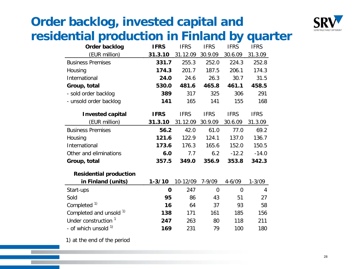# **Order backlog, invested capital and**



#### **residential production in Finland by quarter**

| Order backlog                   | <b>IFRS</b> | <b>IFRS</b> | <b>IFRS</b>    | <b>IFRS</b>    | <b>IFRS</b> |
|---------------------------------|-------------|-------------|----------------|----------------|-------------|
| (EUR million)                   | 31.3.10     | 31.12.09    | 30.9.09        | 30.6.09        | 31.3.09     |
| <b>Business Premises</b>        | 331.7       | 255.3       | 252.0          | 224.3          | 252.8       |
| Housing                         | 174.3       | 201.7       | 187.5          | 206.1          | 174.3       |
| International                   | 24.0        | 24.6        | 26.3           | 30.7           | 31.5        |
| Group, total                    | 530.0       | 481.6       | 465.8          | 461.1          | 458.5       |
| - sold order backlog            | 389         | 317         | 325            | 306            | 291         |
| - unsold order backlog          | 141         | 165         | 141            | 155            | 168         |
| <b>Invested capital</b>         | <b>IFRS</b> | <b>IFRS</b> | <b>IFRS</b>    | <b>IFRS</b>    | <b>IFRS</b> |
| (EUR million)                   | 31.3.10     | 31.12.09    | 30.9.09        | 30.6.09        | 31.3.09     |
| <b>Business Premises</b>        | 56.2        | 42.0        | 61.0           | 77.0           | 69.2        |
| Housing                         | 121.6       | 122.9       | 124.1          | 137.0          | 136.7       |
| International                   | 173.6       | 176.3       | 165.6          | 152.0          | 150.5       |
| Other and eliminations          | 6.0         | 7.7         | 6.2            | $-12.2$        | $-14.0$     |
| Group, total                    | 357.5       | 349.0       | 356.9          | 353.8          | 342.3       |
| <b>Residential production</b>   |             |             |                |                |             |
| in Finland (units)              | $1 - 3/10$  | 10-12/09    | $7 - 9/09$     | $4 - 6/09$     | $1 - 3/09$  |
| Start-ups                       | 0           | 247         | $\overline{0}$ | $\overline{0}$ | 4           |
| Sold                            | 95          | 86          | 43             | 51             | 27          |
| Completed <sup>1)</sup>         | 16          | 64          | 37             | 93             | 58          |
| Completed and unsold 1)         | 138         | 171         | 161            | 185            | 156         |
| Under construction <sup>1</sup> | 247         | 263         | 80             | 118            | 211         |
| - of which unsold <sup>1)</sup> | 169         | 231         | 79             | 100            | 180         |

1) at the end of the period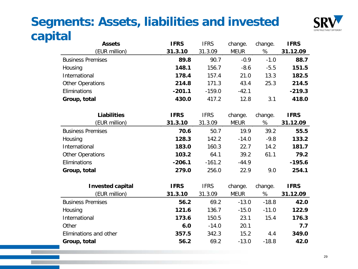#### **Segments: Assets, liabilities and invested**   $$



| <b>Assets</b>            | <b>IFRS</b> | <b>IFRS</b> | change.     | change. | <b>IFRS</b> |
|--------------------------|-------------|-------------|-------------|---------|-------------|
| (EUR million)            | 31.3.10     | 31.3.09     | <b>MEUR</b> | %       | 31.12.09    |
| <b>Business Premises</b> | 89.8        | 90.7        | $-0.9$      | $-1.0$  | 88.7        |
| Housing                  | 148.1       | 156.7       | $-8.6$      | $-5.5$  | 151.5       |
| International            | 178.4       | 157.4       | 21.0        | 13.3    | 182.5       |
| <b>Other Operations</b>  | 214.8       | 171.3       | 43.4        | 25.3    | 214.5       |
| Eliminations             | $-201.1$    | $-159.0$    | $-42.1$     |         | $-219.3$    |
| Group, total             | 430.0       | 417.2       | 12.8        | 3.1     | 418.0       |
| <b>Liabilities</b>       | <b>IFRS</b> | <b>IFRS</b> | change.     | change. | <b>IFRS</b> |
| (EUR million)            | 31.3.10     | 31.3.09     | <b>MEUR</b> | $\%$    | 31.12.09    |
| <b>Business Premises</b> | 70.6        | 50.7        | 19.9        | 39.2    | 55.5        |
| Housing                  | 128.3       | 142.2       | $-14.0$     | $-9.8$  | 133.2       |
| International            | 183.0       | 160.3       | 22.7        | 14.2    | 181.7       |
| <b>Other Operations</b>  | 103.2       | 64.1        | 39.2        | 61.1    | 79.2        |
| Eliminations             | $-206.1$    | $-161.2$    | $-44.9$     |         | $-195.6$    |
| Group, total             | 279.0       | 256.0       | 22.9        | 9.0     | 254.1       |
| <b>Invested capital</b>  | <b>IFRS</b> | <b>IFRS</b> | change.     | change. | <b>IFRS</b> |
| (EUR million)            | 31.3.10     | 31.3.09     | <b>MEUR</b> | %       | 31.12.09    |
| <b>Business Premises</b> | 56.2        | 69.2        | $-13.0$     | $-18.8$ | 42.0        |
| Housing                  | 121.6       | 136.7       | $-15.0$     | $-11.0$ | 122.9       |
| International            | 173.6       | 150.5       | 23.1        | 15.4    | 176.3       |
| Other                    | 6.0         | $-14.0$     | 20.1        |         | 7.7         |
| Eliminations and other   | 357.5       | 342.3       | 15.2        | 4.4     | 349.0       |

**Group, total 56.2** 69.2 -13.0 -18.8 **42.0**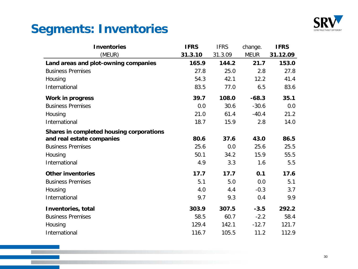

#### **Segments: Inventories**

| <b>Inventories</b>                       | <b>IFRS</b> | <b>IFRS</b> | change.     | <b>IFRS</b> |
|------------------------------------------|-------------|-------------|-------------|-------------|
| (MEUR)                                   | 31.3.10     | 31.3.09     | <b>MEUR</b> | 31.12.09    |
| Land areas and plot-owning companies     | 165.9       | 144.2       | 21.7        | 153.0       |
| <b>Business Premises</b>                 | 27.8        | 25.0        | 2.8         | 27.8        |
| Housing                                  | 54.3        | 42.1        | 12.2        | 41.4        |
| International                            | 83.5        | 77.0        | 6.5         | 83.6        |
| <b>Work in progress</b>                  | 39.7        | 108.0       | $-68.3$     | 35.1        |
| <b>Business Premises</b>                 | 0.0         | 30.6        | $-30.6$     | 0.0         |
| Housing                                  | 21.0        | 61.4        | $-40.4$     | 21.2        |
| International                            | 18.7        | 15.9        | 2.8         | 14.0        |
| Shares in completed housing corporations |             |             |             |             |
| and real estate companies                | 80.6        | 37.6        | 43.0        | 86.5        |
| <b>Business Premises</b>                 | 25.6        | 0.0         | 25.6        | 25.5        |
| Housing                                  | 50.1        | 34.2        | 15.9        | 55.5        |
| International                            | 4.9         | 3.3         | 1.6         | 5.5         |
| <b>Other inventories</b>                 | 17.7        | 17.7        | 0.1         | 17.6        |
| <b>Business Premises</b>                 | 5.1         | 5.0         | 0.0         | 5.1         |
| Housing                                  | 4.0         | 4.4         | $-0.3$      | 3.7         |
| International                            | 9.7         | 9.3         | 0.4         | 9.9         |
| Inventories, total                       | 303.9       | 307.5       | $-3.5$      | 292.2       |
| <b>Business Premises</b>                 | 58.5        | 60.7        | $-2.2$      | 58.4        |
| Housing                                  | 129.4       | 142.1       | $-12.7$     | 121.7       |
| International                            | 116.7       | 105.5       | 11.2        | 112.9       |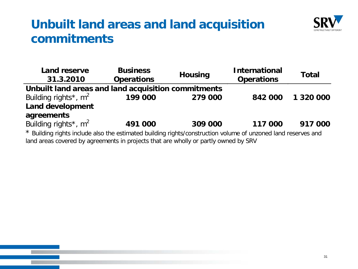#### **Unbuilt land areas and land acquisition commitments**



| <b>Land reserve</b><br>31.3.2010                                                                              | <b>Business</b><br><b>Operations</b> | <b>Housing</b> | <b>International</b><br><b>Operations</b> | <b>Total</b> |
|---------------------------------------------------------------------------------------------------------------|--------------------------------------|----------------|-------------------------------------------|--------------|
| Unbuilt land areas and land acquisition commitments                                                           |                                      |                |                                           |              |
| Building rights <sup>*</sup> , $m^2$                                                                          | 199 000                              | 279 000        | 842 000                                   | 1 320 000    |
| <b>Land development</b>                                                                                       |                                      |                |                                           |              |
| agreements                                                                                                    |                                      |                |                                           |              |
| Building rights <sup>*</sup> , $m^2$                                                                          | 491 000                              | 309 000        | 117 000                                   | 917 000      |
| * Building rights include also the estimated building rights/construction volume of unzoned land reserves and |                                      |                |                                           |              |

land areas covered by agreements in projects that are wholly or partly owned by SRV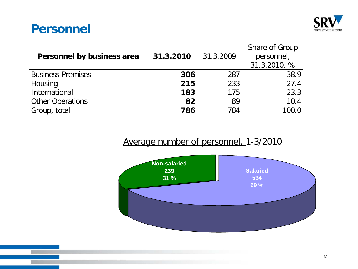#### **Personnel**



| Personnel by business area | 31.3.2010 | 31.3.2009 | Share of Group<br>personnel,<br>31.3.2010, % |
|----------------------------|-----------|-----------|----------------------------------------------|
| <b>Business Premises</b>   | 306       | 287       | 38.9                                         |
| Housing                    | 215       | 233       | 27.4                                         |
| International              | 183       | 175       | 23.3                                         |
| <b>Other Operations</b>    | 82        | 89        | 10.4                                         |
| Group, total               | 786       | 784       | 100.0                                        |

#### Average number of personnel, 1-3/2010

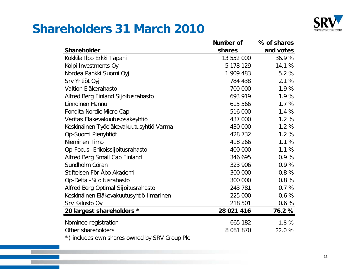

#### **Shareholders 31 March 2010**

|                                                       | Number of  | % of shares |
|-------------------------------------------------------|------------|-------------|
| <b>Shareholder</b>                                    | shares     | and votes   |
| Kokkila Ilpo Erkki Tapani                             | 13 552 000 | 36.9%       |
| Kolpi Investments Oy                                  | 5 178 129  | 14.1 %      |
| Nordea Pankki Suomi Oyj                               | 1 909 483  | 5.2 %       |
| Srv Yhtiöt Oyj                                        | 784 438    | 2.1%        |
| Valtion Eläkerahasto                                  | 700 000    | 1.9%        |
| Alfred Berg Finland Sijoitusrahasto                   | 693 919    | 1.9%        |
| Linnoinen Hannu                                       | 615 566    | 1.7%        |
| Fondita Nordic Micro Cap                              | 516 000    | 1.4 %       |
| Veritas Eläkevakuutusosakeyhtiö                       | 437 000    | 1.2%        |
| Keskinäinen Työeläkevakuutusyhtiö Varma               | 430 000    | 1.2%        |
| Op-Suomi Pienyhtiöt                                   | 428 732    | 1.2%        |
| Nieminen Timo                                         | 418 266    | 1.1 %       |
| Op-Focus - Erikoissijoitusrahasto                     | 400 000    | 1.1%        |
| Alfred Berg Small Cap Finland                         | 346 695    | 0.9%        |
| Sundholm Göran                                        | 323 906    | 0.9%        |
| Stiftelsen För Åbo Akademi                            | 300 000    | 0.8%        |
| Op-Delta - Sijoitusrahasto                            | 300 000    | 0.8%        |
| Alfred Berg Optimal Sijoitusrahasto                   | 243 781    | 0.7%        |
| Keskinäinen Eläkevakuutusyhtiö Ilmarinen              | 225 000    | 0.6%        |
| Srv Kalusto Oy                                        | 218 501    | 0.6%        |
| 20 largest shareholders *                             | 28 021 416 | 76.2%       |
| Nominee registration                                  | 665 182    | 1.8%        |
| Other shareholders                                    | 8 081 870  | 22.0%       |
| $\star$ ) includes our shares ourned by CDV Croup Dla |            |             |

\*) includes own shares owned by SRV Group Plc